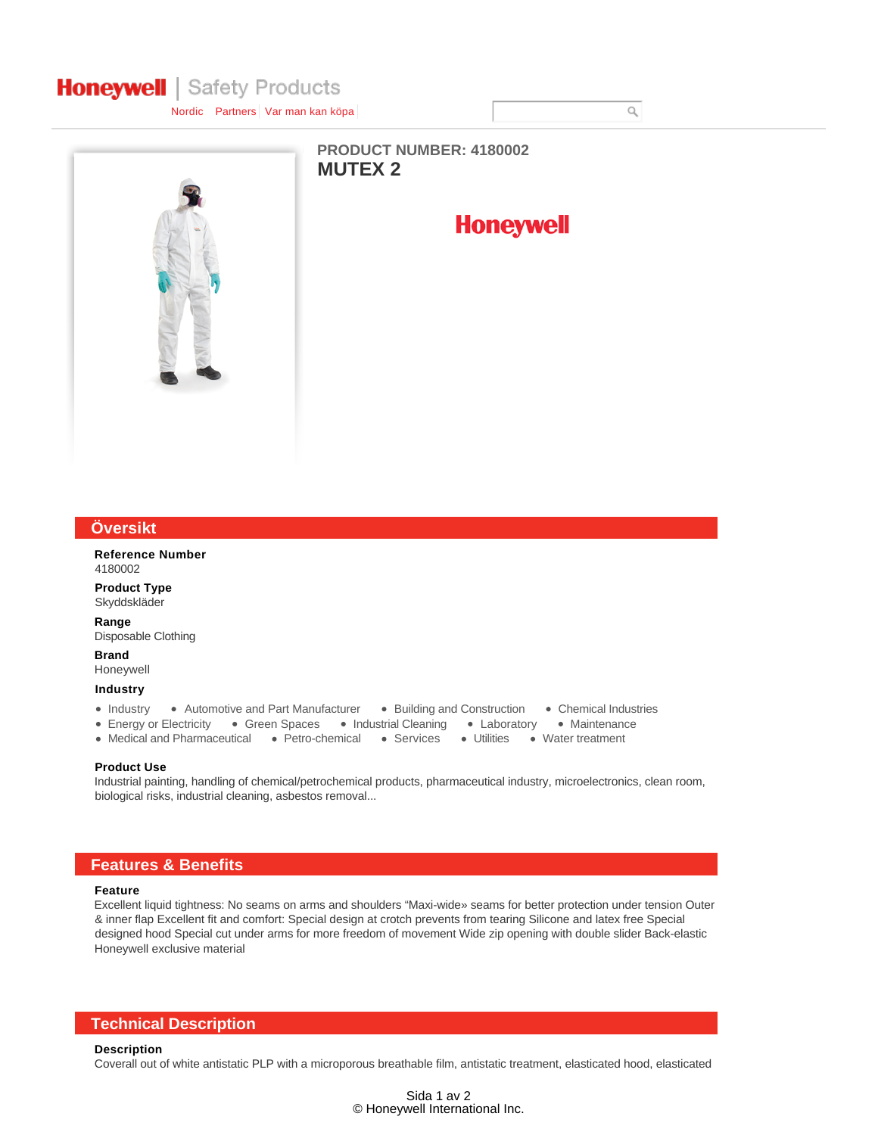# **Honeywell** | Safety Products

Nordic Partners Var man kan köpa



**MUTEX 2 PRODUCT NUMBER: 4180002**



### **Översikt**

**Reference Number** 4180002

**Product Type** Skyddskläder

**Range** Disposable Clothing

**Brand**

Honeywell

**Industry**

- Industry Automotive and Part Manufacturer Building and Construction Chemical Industries
- Energy or Electricity Green Spaces Industrial Cleaning Laboratory Maintenance
- Medical and Pharmaceutical Petro-chemical Services Utilities Water treatment
- 
- 
- 

#### **Product Use**

Industrial painting, handling of chemical/petrochemical products, pharmaceutical industry, microelectronics, clean room, biological risks, industrial cleaning, asbestos removal...

# **Features & Benefits**

# **Feature**

Excellent liquid tightness: No seams on arms and shoulders "Maxi-wide» seams for better protection under tension Outer & inner flap Excellent fit and comfort: Special design at crotch prevents from tearing Silicone and latex free Special designed hood Special cut under arms for more freedom of movement Wide zip opening with double slider Back-elastic Honeywell exclusive material

# **Technical Description**

#### **Description**

Coverall out of white antistatic PLP with a microporous breathable film, antistatic treatment, elasticated hood, elasticated

 $\hbox{O}$